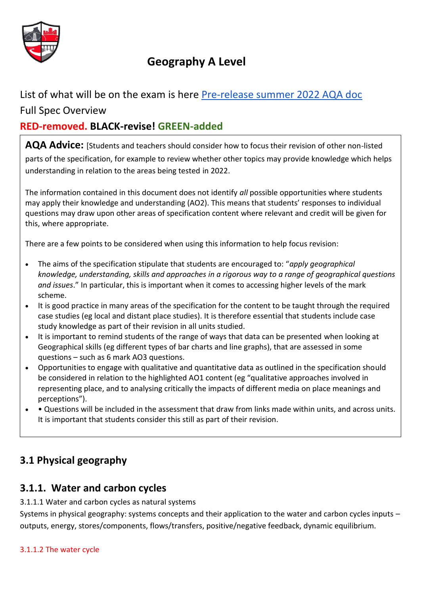

# **Geography A Level**

List of what will be on the exam is here [Pre-release summer 2022 AQA doc](https://filestore.aqa.org.uk/content/summer-2022/AQA-7037-AI-22.PDF)

## Full Spec Overview

## **RED-removed. BLACK-revise! GREEN-added**

**AQA Advice:** [Students and teachers should consider how to focus their revision of other non-listed parts of the specification, for example to review whether other topics may provide knowledge which helps understanding in relation to the areas being tested in 2022.

The information contained in this document does not identify *all* possible opportunities where students may apply their knowledge and understanding (AO2). This means that students' responses to individual questions may draw upon other areas of specification content where relevant and credit will be given for this, where appropriate.

There are a few points to be considered when using this information to help focus revision:

- The aims of the specification stipulate that students are encouraged to: "*apply geographical knowledge, understanding, skills and approaches in a rigorous way to a range of geographical questions and issues*." In particular, this is important when it comes to accessing higher levels of the mark scheme.
- It is good practice in many areas of the specification for the content to be taught through the required case studies (eg local and distant place studies). It is therefore essential that students include case study knowledge as part of their revision in all units studied.
- It is important to remind students of the range of ways that data can be presented when looking at Geographical skills (eg different types of bar charts and line graphs), that are assessed in some questions – such as 6 mark AO3 questions.
- Opportunities to engage with qualitative and quantitative data as outlined in the specification should be considered in relation to the highlighted AO1 content (eg "qualitative approaches involved in representing place, and to analysing critically the impacts of different media on place meanings and perceptions").
- • Questions will be included in the assessment that draw from links made within units, and across units. It is important that students consider this still as part of their revision.

# **3.1 Physical geography**

## **3.1.1. Water and carbon cycles**

## 3.1.1.1 Water and carbon cycles as natural systems

Systems in physical geography: systems concepts and their application to the water and carbon cycles inputs – outputs, energy, stores/components, flows/transfers, positive/negative feedback, dynamic equilibrium.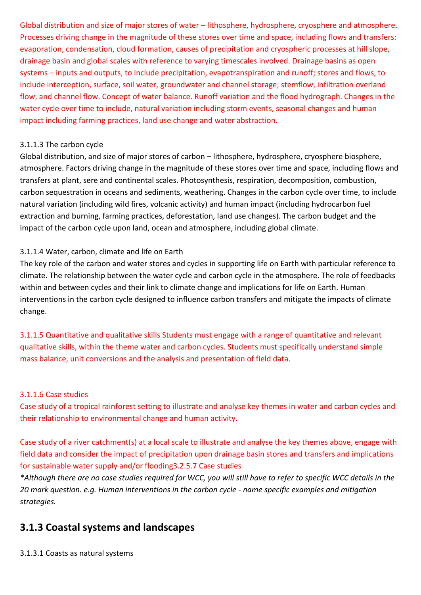Global distribution and size of major stores of water – lithosphere, hydrosphere, cryosphere and atmosphere. Processes driving change in the magnitude of these stores over time and space, including flows and transfers: evaporation, condensation, cloud formation, causes of precipitation and cryospheric processes at hill slope, drainage basin and global scales with reference to varying timescales involved. Drainage basins as open systems – inputs and outputs, to include precipitation, evapotranspiration and runoff; stores and flows, to include interception, surface, soil water, groundwater and channel storage; stemflow, infiltration overland flow, and channel flow. Concept of water balance. Runoff variation and the flood hydrograph. Changes in the water cycle over time to include, natural variation including storm events, seasonal changes and human impact including farming practices, land use change and water abstraction.

#### 3.1.1.3 The carbon cycle

Global distribution, and size of major stores of carbon – lithosphere, hydrosphere, cryosphere biosphere, atmosphere. Factors driving change in the magnitude of these stores over time and space, including flows and transfers at plant, sere and continental scales. Photosynthesis, respiration, decomposition, combustion, carbon sequestration in oceans and sediments, weathering. Changes in the carbon cycle over time, to include natural variation (including wild fires, volcanic activity) and human impact (including hydrocarbon fuel extraction and burning, farming practices, deforestation, land use changes). The carbon budget and the impact of the carbon cycle upon land, ocean and atmosphere, including global climate.

#### 3.1.1.4 Water, carbon, climate and life on Earth

The key role of the carbon and water stores and cycles in supporting life on Earth with particular reference to climate. The relationship between the water cycle and carbon cycle in the atmosphere. The role of feedbacks within and between cycles and their link to climate change and implications for life on Earth. Human interventions in the carbon cycle designed to influence carbon transfers and mitigate the impacts of climate change.

3.1.1.5 Quantitative and qualitative skills Students must engage with a range of quantitative and relevant qualitative skills, within the theme water and carbon cycles. Students must specifically understand simple mass balance, unit conversions and the analysis and presentation of field data.

#### 3.1.1.6 Case studies

Case study of a tropical rainforest setting to illustrate and analyse key themes in water and carbon cycles and their relationship to environmental change and human activity.

Case study of a river catchment(s) at a local scale to illustrate and analyse the key themes above, engage with field data and consider the impact of precipitation upon drainage basin stores and transfers and implications for sustainable water supply and/or flooding3.2.5.7 Case studies

*\*Although there are no case studies required for WCC, you will still have to refer to specific WCC details in the 20 mark question. e.g. Human interventions in the carbon cycle - name specific examples and mitigation strategies.* 

## **3.1.3 Coastal systems and landscapes**

3.1.3.1 Coasts as natural systems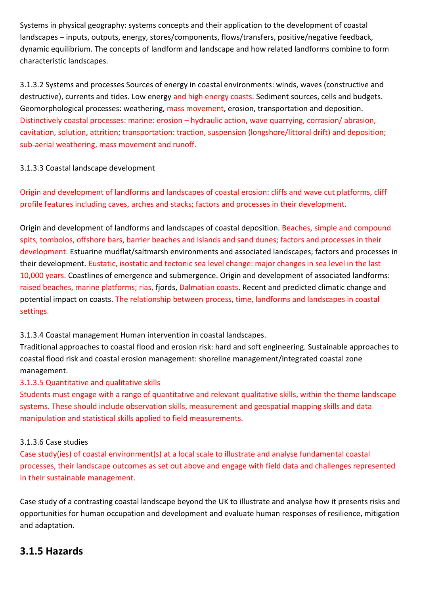Systems in physical geography: systems concepts and their application to the development of coastal landscapes – inputs, outputs, energy, stores/components, flows/transfers, positive/negative feedback, dynamic equilibrium. The concepts of landform and landscape and how related landforms combine to form characteristic landscapes.

3.1.3.2 Systems and processes Sources of energy in coastal environments: winds, waves (constructive and destructive), currents and tides. Low energy and high energy coasts. Sediment sources, cells and budgets. Geomorphological processes: weathering, mass movement, erosion, transportation and deposition. Distinctively coastal processes: marine: erosion – hydraulic action, wave quarrying, corrasion/ abrasion, cavitation, solution, attrition; transportation: traction, suspension (longshore/littoral drift) and deposition; sub-aerial weathering, mass movement and runoff.

## 3.1.3.3 Coastal landscape development

Origin and development of landforms and landscapes of coastal erosion: cliffs and wave cut platforms, cliff profile features including caves, arches and stacks; factors and processes in their development.

Origin and development of landforms and landscapes of coastal deposition. Beaches, simple and compound spits, tombolos, offshore bars, barrier beaches and islands and sand dunes; factors and processes in their development. Estuarine mudflat/saltmarsh environments and associated landscapes; factors and processes in their development. Eustatic, isostatic and tectonic sea level change: major changes in sea level in the last 10,000 years. Coastlines of emergence and submergence. Origin and development of associated landforms: raised beaches, marine platforms; rias, fjords, Dalmatian coasts. Recent and predicted climatic change and potential impact on coasts. The relationship between process, time, landforms and landscapes in coastal settings.

## 3.1.3.4 Coastal management Human intervention in coastal landscapes.

Traditional approaches to coastal flood and erosion risk: hard and soft engineering. Sustainable approaches to coastal flood risk and coastal erosion management: shoreline management/integrated coastal zone management.

## 3.1.3.5 Quantitative and qualitative skills

Students must engage with a range of quantitative and relevant qualitative skills, within the theme landscape systems. These should include observation skills, measurement and geospatial mapping skills and data manipulation and statistical skills applied to field measurements.

## 3.1.3.6 Case studies

Case study(ies) of coastal environment(s) at a local scale to illustrate and analyse fundamental coastal processes, their landscape outcomes as set out above and engage with field data and challenges represented in their sustainable management.

Case study of a contrasting coastal landscape beyond the UK to illustrate and analyse how it presents risks and opportunities for human occupation and development and evaluate human responses of resilience, mitigation and adaptation.

## **3.1.5 Hazards**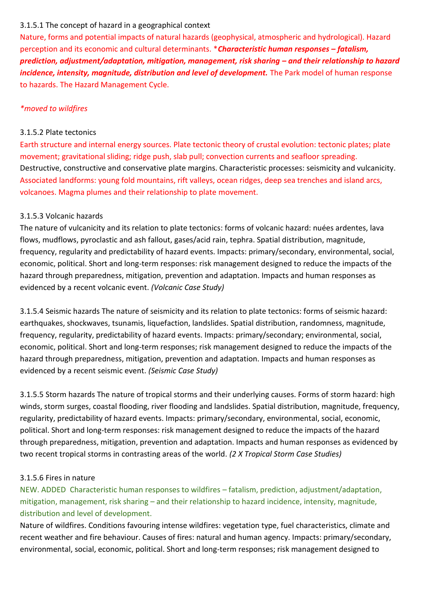#### 3.1.5.1 The concept of hazard in a geographical context

Nature, forms and potential impacts of natural hazards (geophysical, atmospheric and hydrological). Hazard perception and its economic and cultural determinants. \**Characteristic human responses – fatalism, prediction, adjustment/adaptation, mitigation, management, risk sharing – and their relationship to hazard incidence, intensity, magnitude, distribution and level of development.* The Park model of human response to hazards. The Hazard Management Cycle.

### *\*moved to wildfires*

#### 3.1.5.2 Plate tectonics

Earth structure and internal energy sources. Plate tectonic theory of crustal evolution: tectonic plates; plate movement; gravitational sliding; ridge push, slab pull; convection currents and seafloor spreading. Destructive, constructive and conservative plate margins. Characteristic processes: seismicity and vulcanicity. Associated landforms: young fold mountains, rift valleys, ocean ridges, deep sea trenches and island arcs, volcanoes. Magma plumes and their relationship to plate movement.

#### 3.1.5.3 Volcanic hazards

The nature of vulcanicity and its relation to plate tectonics: forms of volcanic hazard: nuées ardentes, lava flows, mudflows, pyroclastic and ash fallout, gases/acid rain, tephra. Spatial distribution, magnitude, frequency, regularity and predictability of hazard events. Impacts: primary/secondary, environmental, social, economic, political. Short and long-term responses: risk management designed to reduce the impacts of the hazard through preparedness, mitigation, prevention and adaptation. Impacts and human responses as evidenced by a recent volcanic event. *(Volcanic Case Study)*

3.1.5.4 Seismic hazards The nature of seismicity and its relation to plate tectonics: forms of seismic hazard: earthquakes, shockwaves, tsunamis, liquefaction, landslides. Spatial distribution, randomness, magnitude, frequency, regularity, predictability of hazard events. Impacts: primary/secondary; environmental, social, economic, political. Short and long-term responses; risk management designed to reduce the impacts of the hazard through preparedness, mitigation, prevention and adaptation. Impacts and human responses as evidenced by a recent seismic event. *(Seismic Case Study)*

3.1.5.5 Storm hazards The nature of tropical storms and their underlying causes. Forms of storm hazard: high winds, storm surges, coastal flooding, river flooding and landslides. Spatial distribution, magnitude, frequency, regularity, predictability of hazard events. Impacts: primary/secondary, environmental, social, economic, political. Short and long-term responses: risk management designed to reduce the impacts of the hazard through preparedness, mitigation, prevention and adaptation. Impacts and human responses as evidenced by two recent tropical storms in contrasting areas of the world. *(2 X Tropical Storm Case Studies)*

#### 3.1.5.6 Fires in nature

NEW. ADDED Characteristic human responses to wildfires – fatalism, prediction, adjustment/adaptation, mitigation, management, risk sharing – and their relationship to hazard incidence, intensity, magnitude, distribution and level of development.

Nature of wildfires. Conditions favouring intense wildfires: vegetation type, fuel characteristics, climate and recent weather and fire behaviour. Causes of fires: natural and human agency. Impacts: primary/secondary, environmental, social, economic, political. Short and long-term responses; risk management designed to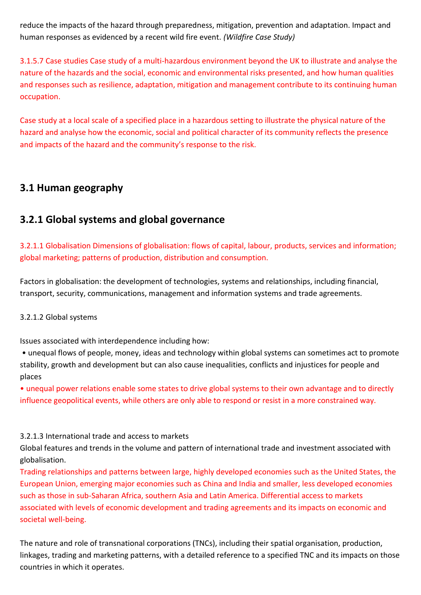reduce the impacts of the hazard through preparedness, mitigation, prevention and adaptation. Impact and human responses as evidenced by a recent wild fire event. *(Wildfire Case Study)*

3.1.5.7 Case studies Case study of a multi-hazardous environment beyond the UK to illustrate and analyse the nature of the hazards and the social, economic and environmental risks presented, and how human qualities and responses such as resilience, adaptation, mitigation and management contribute to its continuing human occupation.

Case study at a local scale of a specified place in a hazardous setting to illustrate the physical nature of the hazard and analyse how the economic, social and political character of its community reflects the presence and impacts of the hazard and the community's response to the risk.

## **3.1 Human geography**

## **3.2.1 Global systems and global governance**

3.2.1.1 Globalisation Dimensions of globalisation: flows of capital, labour, products, services and information; global marketing; patterns of production, distribution and consumption.

Factors in globalisation: the development of technologies, systems and relationships, including financial, transport, security, communications, management and information systems and trade agreements.

#### 3.2.1.2 Global systems

Issues associated with interdependence including how:

• unequal flows of people, money, ideas and technology within global systems can sometimes act to promote stability, growth and development but can also cause inequalities, conflicts and injustices for people and places

• unequal power relations enable some states to drive global systems to their own advantage and to directly influence geopolitical events, while others are only able to respond or resist in a more constrained way.

#### 3.2.1.3 International trade and access to markets

Global features and trends in the volume and pattern of international trade and investment associated with globalisation.

Trading relationships and patterns between large, highly developed economies such as the United States, the European Union, emerging major economies such as China and India and smaller, less developed economies such as those in sub-Saharan Africa, southern Asia and Latin America. Differential access to markets associated with levels of economic development and trading agreements and its impacts on economic and societal well-being.

The nature and role of transnational corporations (TNCs), including their spatial organisation, production, linkages, trading and marketing patterns, with a detailed reference to a specified TNC and its impacts on those countries in which it operates.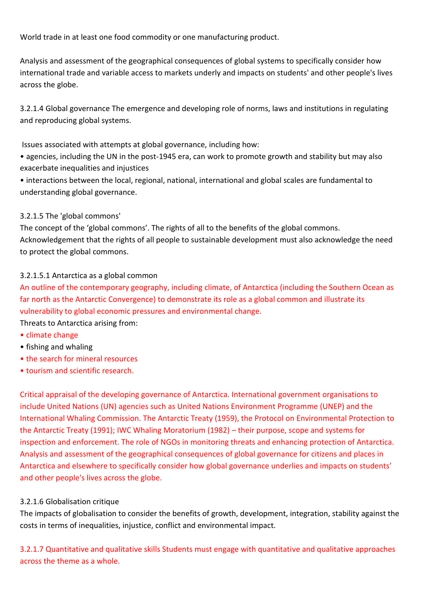World trade in at least one food commodity or one manufacturing product.

Analysis and assessment of the geographical consequences of global systems to specifically consider how international trade and variable access to markets underly and impacts on students' and other people's lives across the globe.

3.2.1.4 Global governance The emergence and developing role of norms, laws and institutions in regulating and reproducing global systems.

Issues associated with attempts at global governance, including how:

• agencies, including the UN in the post-1945 era, can work to promote growth and stability but may also exacerbate inequalities and injustices

• interactions between the local, regional, national, international and global scales are fundamental to understanding global governance.

#### 3.2.1.5 The 'global commons'

The concept of the 'global commons'. The rights of all to the benefits of the global commons. Acknowledgement that the rights of all people to sustainable development must also acknowledge the need to protect the global commons.

#### 3.2.1.5.1 Antarctica as a global common

An outline of the contemporary geography, including climate, of Antarctica (including the Southern Ocean as far north as the Antarctic Convergence) to demonstrate its role as a global common and illustrate its vulnerability to global economic pressures and environmental change.

Threats to Antarctica arising from:

- climate change
- fishing and whaling
- the search for mineral resources
- tourism and scientific research.

Critical appraisal of the developing governance of Antarctica. International government organisations to include United Nations (UN) agencies such as United Nations Environment Programme (UNEP) and the International Whaling Commission. The Antarctic Treaty (1959), the Protocol on Environmental Protection to the Antarctic Treaty (1991); IWC Whaling Moratorium (1982) – their purpose, scope and systems for inspection and enforcement. The role of NGOs in monitoring threats and enhancing protection of Antarctica. Analysis and assessment of the geographical consequences of global governance for citizens and places in Antarctica and elsewhere to specifically consider how global governance underlies and impacts on students' and other people's lives across the globe.

#### 3.2.1.6 Globalisation critique

The impacts of globalisation to consider the benefits of growth, development, integration, stability against the costs in terms of inequalities, injustice, conflict and environmental impact.

3.2.1.7 Quantitative and qualitative skills Students must engage with quantitative and qualitative approaches across the theme as a whole.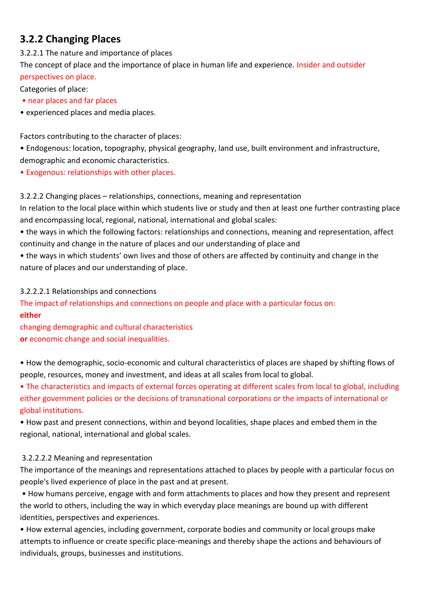## **3.2.2 Changing Places**

3.2.2.1 The nature and importance of places

The concept of place and the importance of place in human life and experience. Insider and outsider perspectives on place.

Categories of place:

- near places and far places
- experienced places and media places.

Factors contributing to the character of places:

- Endogenous: location, topography, physical geography, land use, built environment and infrastructure, demographic and economic characteristics.
- Exogenous: relationships with other places.

3.2.2.2 Changing places – relationships, connections, meaning and representation In relation to the local place within which students live or study and then at least one further contrasting place and encompassing local, regional, national, international and global scales:

- the ways in which the following factors: relationships and connections, meaning and representation, affect continuity and change in the nature of places and our understanding of place and
- the ways in which students' own lives and those of others are affected by continuity and change in the nature of places and our understanding of place.

## 3.2.2.2.1 Relationships and connections

The impact of relationships and connections on people and place with a particular focus on: **either** 

changing demographic and cultural characteristics **or** economic change and social inequalities.

• How the demographic, socio-economic and cultural characteristics of places are shaped by shifting flows of people, resources, money and investment, and ideas at all scales from local to global.

• The characteristics and impacts of external forces operating at different scales from local to global, including either government policies or the decisions of transnational corporations or the impacts of international or global institutions.

• How past and present connections, within and beyond localities, shape places and embed them in the regional, national, international and global scales.

## 3.2.2.2.2 Meaning and representation

The importance of the meanings and representations attached to places by people with a particular focus on people's lived experience of place in the past and at present.

• How humans perceive, engage with and form attachments to places and how they present and represent the world to others, including the way in which everyday place meanings are bound up with different identities, perspectives and experiences.

• How external agencies, including government, corporate bodies and community or local groups make attempts to influence or create specific place-meanings and thereby shape the actions and behaviours of individuals, groups, businesses and institutions.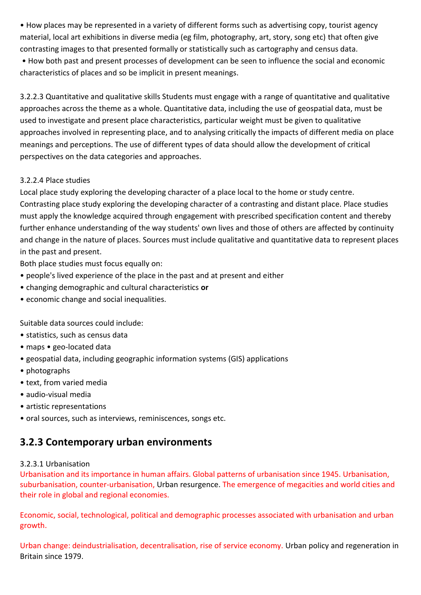• How places may be represented in a variety of different forms such as advertising copy, tourist agency material, local art exhibitions in diverse media (eg film, photography, art, story, song etc) that often give contrasting images to that presented formally or statistically such as cartography and census data.

• How both past and present processes of development can be seen to influence the social and economic characteristics of places and so be implicit in present meanings.

3.2.2.3 Quantitative and qualitative skills Students must engage with a range of quantitative and qualitative approaches across the theme as a whole. Quantitative data, including the use of geospatial data, must be used to investigate and present place characteristics, particular weight must be given to qualitative approaches involved in representing place, and to analysing critically the impacts of different media on place meanings and perceptions. The use of different types of data should allow the development of critical perspectives on the data categories and approaches.

## 3.2.2.4 Place studies

Local place study exploring the developing character of a place local to the home or study centre. Contrasting place study exploring the developing character of a contrasting and distant place. Place studies must apply the knowledge acquired through engagement with prescribed specification content and thereby further enhance understanding of the way students' own lives and those of others are affected by continuity and change in the nature of places. Sources must include qualitative and quantitative data to represent places in the past and present.

Both place studies must focus equally on:

- people's lived experience of the place in the past and at present and either
- changing demographic and cultural characteristics **or**
- economic change and social inequalities.

Suitable data sources could include:

- statistics, such as census data
- maps geo-located data
- geospatial data, including geographic information systems (GIS) applications
- photographs
- text, from varied media
- audio-visual media
- artistic representations
- oral sources, such as interviews, reminiscences, songs etc.

## **3.2.3 Contemporary urban environments**

## 3.2.3.1 Urbanisation

Urbanisation and its importance in human affairs. Global patterns of urbanisation since 1945. Urbanisation, suburbanisation, counter-urbanisation, Urban resurgence. The emergence of megacities and world cities and their role in global and regional economies.

Economic, social, technological, political and demographic processes associated with urbanisation and urban growth.

Urban change: deindustrialisation, decentralisation, rise of service economy. Urban policy and regeneration in Britain since 1979.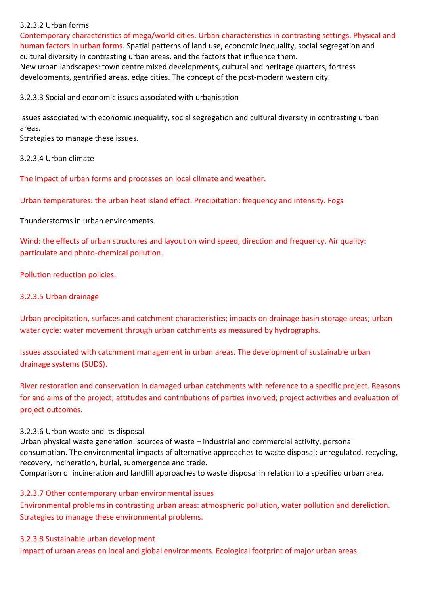#### 3.2.3.2 Urban forms

Contemporary characteristics of mega/world cities. Urban characteristics in contrasting settings. Physical and human factors in urban forms. Spatial patterns of land use, economic inequality, social segregation and cultural diversity in contrasting urban areas, and the factors that influence them. New urban landscapes: town centre mixed developments, cultural and heritage quarters, fortress developments, gentrified areas, edge cities. The concept of the post-modern western city.

3.2.3.3 Social and economic issues associated with urbanisation

Issues associated with economic inequality, social segregation and cultural diversity in contrasting urban areas.

Strategies to manage these issues.

3.2.3.4 Urban climate

The impact of urban forms and processes on local climate and weather.

Urban temperatures: the urban heat island effect. Precipitation: frequency and intensity. Fogs

Thunderstorms in urban environments.

Wind: the effects of urban structures and layout on wind speed, direction and frequency. Air quality: particulate and photo-chemical pollution.

Pollution reduction policies.

3.2.3.5 Urban drainage

Urban precipitation, surfaces and catchment characteristics; impacts on drainage basin storage areas; urban water cycle: water movement through urban catchments as measured by hydrographs.

Issues associated with catchment management in urban areas. The development of sustainable urban drainage systems (SUDS).

River restoration and conservation in damaged urban catchments with reference to a specific project. Reasons for and aims of the project; attitudes and contributions of parties involved; project activities and evaluation of project outcomes.

#### 3.2.3.6 Urban waste and its disposal

Urban physical waste generation: sources of waste – industrial and commercial activity, personal consumption. The environmental impacts of alternative approaches to waste disposal: unregulated, recycling, recovery, incineration, burial, submergence and trade.

Comparison of incineration and landfill approaches to waste disposal in relation to a specified urban area.

#### 3.2.3.7 Other contemporary urban environmental issues

Environmental problems in contrasting urban areas: atmospheric pollution, water pollution and dereliction. Strategies to manage these environmental problems.

#### 3.2.3.8 Sustainable urban development

Impact of urban areas on local and global environments. Ecological footprint of major urban areas.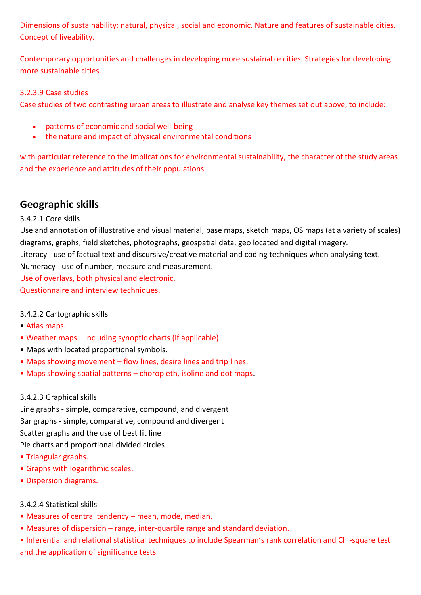Dimensions of sustainability: natural, physical, social and economic. Nature and features of sustainable cities. Concept of liveability.

Contemporary opportunities and challenges in developing more sustainable cities. Strategies for developing more sustainable cities.

#### 3.2.3.9 Case studies

Case studies of two contrasting urban areas to illustrate and analyse key themes set out above, to include:

- patterns of economic and social well-being
- the nature and impact of physical environmental conditions

with particular reference to the implications for environmental sustainability, the character of the study areas and the experience and attitudes of their populations.

## **Geographic skills**

## 3.4.2.1 Core skills

Use and annotation of illustrative and visual material, base maps, sketch maps, OS maps (at a variety of scales) diagrams, graphs, field sketches, photographs, geospatial data, geo located and digital imagery. Literacy - use of factual text and discursive/creative material and coding techniques when analysing text. Numeracy - use of number, measure and measurement.

Use of overlays, both physical and electronic.

Questionnaire and interview techniques.

## 3.4.2.2 Cartographic skills

- Atlas maps.
- Weather maps including synoptic charts (if applicable).
- Maps with located proportional symbols.
- Maps showing movement flow lines, desire lines and trip lines.
- Maps showing spatial patterns choropleth, isoline and dot maps.

## 3.4.2.3 Graphical skills

Line graphs - simple, comparative, compound, and divergent Bar graphs - simple, comparative, compound and divergent Scatter graphs and the use of best fit line Pie charts and proportional divided circles

- Triangular graphs.
- Graphs with logarithmic scales.
- Dispersion diagrams.

## 3.4.2.4 Statistical skills

- Measures of central tendency mean, mode, median.
- Measures of dispersion range, inter-quartile range and standard deviation.

• Inferential and relational statistical techniques to include Spearman's rank correlation and Chi-square test and the application of significance tests.